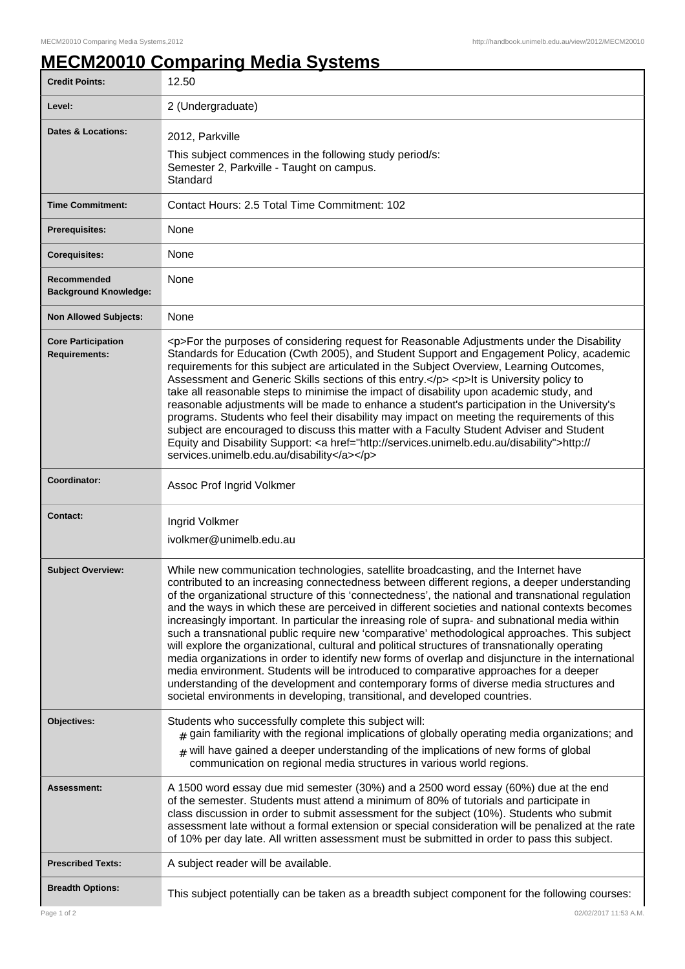## **MECM20010 Comparing Media Systems**

| <b>Credit Points:</b>                             | 12.50                                                                                                                                                                                                                                                                                                                                                                                                                                                                                                                                                                                                                                                                                                                                                                                                                                                                                                                                                                                                                                                                       |
|---------------------------------------------------|-----------------------------------------------------------------------------------------------------------------------------------------------------------------------------------------------------------------------------------------------------------------------------------------------------------------------------------------------------------------------------------------------------------------------------------------------------------------------------------------------------------------------------------------------------------------------------------------------------------------------------------------------------------------------------------------------------------------------------------------------------------------------------------------------------------------------------------------------------------------------------------------------------------------------------------------------------------------------------------------------------------------------------------------------------------------------------|
| Level:                                            | 2 (Undergraduate)                                                                                                                                                                                                                                                                                                                                                                                                                                                                                                                                                                                                                                                                                                                                                                                                                                                                                                                                                                                                                                                           |
| <b>Dates &amp; Locations:</b>                     | 2012, Parkville<br>This subject commences in the following study period/s:<br>Semester 2, Parkville - Taught on campus.<br>Standard                                                                                                                                                                                                                                                                                                                                                                                                                                                                                                                                                                                                                                                                                                                                                                                                                                                                                                                                         |
| <b>Time Commitment:</b>                           | Contact Hours: 2.5 Total Time Commitment: 102                                                                                                                                                                                                                                                                                                                                                                                                                                                                                                                                                                                                                                                                                                                                                                                                                                                                                                                                                                                                                               |
| <b>Prerequisites:</b>                             | None                                                                                                                                                                                                                                                                                                                                                                                                                                                                                                                                                                                                                                                                                                                                                                                                                                                                                                                                                                                                                                                                        |
| <b>Corequisites:</b>                              | None                                                                                                                                                                                                                                                                                                                                                                                                                                                                                                                                                                                                                                                                                                                                                                                                                                                                                                                                                                                                                                                                        |
| Recommended<br><b>Background Knowledge:</b>       | None                                                                                                                                                                                                                                                                                                                                                                                                                                                                                                                                                                                                                                                                                                                                                                                                                                                                                                                                                                                                                                                                        |
| <b>Non Allowed Subjects:</b>                      | None                                                                                                                                                                                                                                                                                                                                                                                                                                                                                                                                                                                                                                                                                                                                                                                                                                                                                                                                                                                                                                                                        |
| <b>Core Participation</b><br><b>Requirements:</b> | <p>For the purposes of considering request for Reasonable Adjustments under the Disability<br/>Standards for Education (Cwth 2005), and Student Support and Engagement Policy, academic<br/>requirements for this subject are articulated in the Subject Overview, Learning Outcomes,<br/>Assessment and Generic Skills sections of this entry.</p> <p>It is University policy to<br/>take all reasonable steps to minimise the impact of disability upon academic study, and<br/>reasonable adjustments will be made to enhance a student's participation in the University's<br/>programs. Students who feel their disability may impact on meeting the requirements of this<br/>subject are encouraged to discuss this matter with a Faculty Student Adviser and Student<br/>Equity and Disability Support: <a href="http://services.unimelb.edu.au/disability">http://<br/>services.unimelb.edu.au/disability</a></p>                                                                                                                                                   |
| Coordinator:                                      | Assoc Prof Ingrid Volkmer                                                                                                                                                                                                                                                                                                                                                                                                                                                                                                                                                                                                                                                                                                                                                                                                                                                                                                                                                                                                                                                   |
| <b>Contact:</b>                                   | Ingrid Volkmer<br>ivolkmer@unimelb.edu.au                                                                                                                                                                                                                                                                                                                                                                                                                                                                                                                                                                                                                                                                                                                                                                                                                                                                                                                                                                                                                                   |
| <b>Subject Overview:</b>                          | While new communication technologies, satellite broadcasting, and the Internet have<br>contributed to an increasing connectedness between different regions, a deeper understanding<br>of the organizational structure of this 'connectedness', the national and transnational regulation<br>and the ways in which these are perceived in different societies and national contexts becomes<br>increasingly important. In particular the inreasing role of supra- and subnational media within<br>such a transnational public require new 'comparative' methodological approaches. This subject<br>will explore the organizational, cultural and political structures of transnationally operating<br>media organizations in order to identify new forms of overlap and disjuncture in the international<br>media environment. Students will be introduced to comparative approaches for a deeper<br>understanding of the development and contemporary forms of diverse media structures and<br>societal environments in developing, transitional, and developed countries. |
| Objectives:                                       | Students who successfully complete this subject will:<br>$_{\text{\#}}$ gain familiarity with the regional implications of globally operating media organizations; and<br>$#$ will have gained a deeper understanding of the implications of new forms of global<br>communication on regional media structures in various world regions.                                                                                                                                                                                                                                                                                                                                                                                                                                                                                                                                                                                                                                                                                                                                    |
| Assessment:                                       | A 1500 word essay due mid semester (30%) and a 2500 word essay (60%) due at the end<br>of the semester. Students must attend a minimum of 80% of tutorials and participate in<br>class discussion in order to submit assessment for the subject (10%). Students who submit<br>assessment late without a formal extension or special consideration will be penalized at the rate<br>of 10% per day late. All written assessment must be submitted in order to pass this subject.                                                                                                                                                                                                                                                                                                                                                                                                                                                                                                                                                                                             |
| <b>Prescribed Texts:</b>                          | A subject reader will be available.                                                                                                                                                                                                                                                                                                                                                                                                                                                                                                                                                                                                                                                                                                                                                                                                                                                                                                                                                                                                                                         |
| <b>Breadth Options:</b>                           | This subject potentially can be taken as a breadth subject component for the following courses:                                                                                                                                                                                                                                                                                                                                                                                                                                                                                                                                                                                                                                                                                                                                                                                                                                                                                                                                                                             |
| Page 1 of 2                                       | 02/02/2017 11:53 A.M.                                                                                                                                                                                                                                                                                                                                                                                                                                                                                                                                                                                                                                                                                                                                                                                                                                                                                                                                                                                                                                                       |